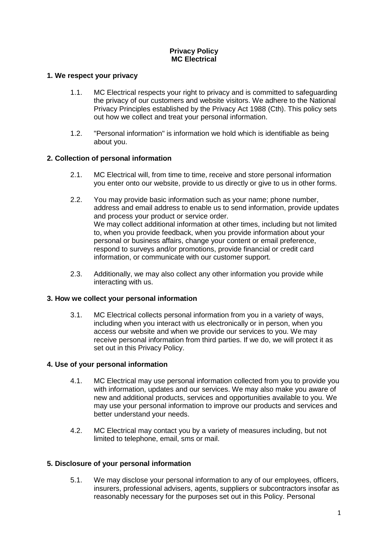# **Privacy Policy MC Electrical**

## **1. We respect your privacy**

- 1.1. MC Electrical respects your right to privacy and is committed to safeguarding the privacy of our customers and website visitors. We adhere to the National Privacy Principles established by the Privacy Act 1988 (Cth). This policy sets out how we collect and treat your personal information.
- 1.2. "Personal information" is information we hold which is identifiable as being about you.

## **2. Collection of personal information**

- 2.1. MC Electrical will, from time to time, receive and store personal information you enter onto our website, provide to us directly or give to us in other forms.
- 2.2. You may provide basic information such as your name; phone number, address and email address to enable us to send information, provide updates and process your product or service order. We may collect additional information at other times, including but not limited to, when you provide feedback, when you provide information about your personal or business affairs, change your content or email preference, respond to surveys and/or promotions, provide financial or credit card information, or communicate with our customer support.
- 2.3. Additionally, we may also collect any other information you provide while interacting with us.

#### **3. How we collect your personal information**

3.1. MC Electrical collects personal information from you in a variety of ways, including when you interact with us electronically or in person, when you access our website and when we provide our services to you. We may receive personal information from third parties. If we do, we will protect it as set out in this Privacy Policy.

#### **4. Use of your personal information**

- 4.1. MC Electrical may use personal information collected from you to provide you with information, updates and our services. We may also make you aware of new and additional products, services and opportunities available to you. We may use your personal information to improve our products and services and better understand your needs.
- 4.2. MC Electrical may contact you by a variety of measures including, but not limited to telephone, email, sms or mail.

#### **5. Disclosure of your personal information**

5.1. We may disclose your personal information to any of our employees, officers, insurers, professional advisers, agents, suppliers or subcontractors insofar as reasonably necessary for the purposes set out in this Policy. Personal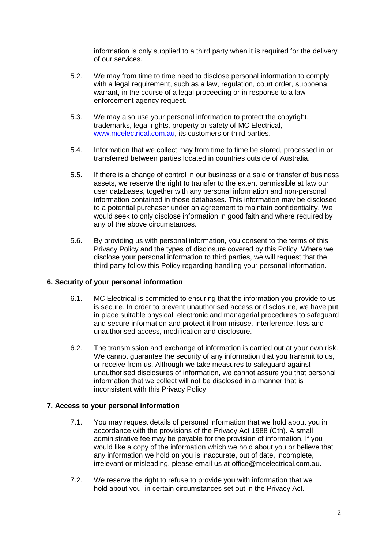information is only supplied to a third party when it is required for the delivery of our services.

- 5.2. We may from time to time need to disclose personal information to comply with a legal requirement, such as a law, regulation, court order, subpoena, warrant, in the course of a legal proceeding or in response to a law enforcement agency request.
- 5.3. We may also use your personal information to protect the copyright, trademarks, legal rights, property or safety of MC Electrical, [www.mcelectrical.com.au,](http://www.mcelectrical.com.au/) its customers or third parties.
- 5.4. Information that we collect may from time to time be stored, processed in or transferred between parties located in countries outside of Australia.
- 5.5. If there is a change of control in our business or a sale or transfer of business assets, we reserve the right to transfer to the extent permissible at law our user databases, together with any personal information and non-personal information contained in those databases. This information may be disclosed to a potential purchaser under an agreement to maintain confidentiality. We would seek to only disclose information in good faith and where required by any of the above circumstances.
- 5.6. By providing us with personal information, you consent to the terms of this Privacy Policy and the types of disclosure covered by this Policy. Where we disclose your personal information to third parties, we will request that the third party follow this Policy regarding handling your personal information.

#### **6. Security of your personal information**

- 6.1. MC Electrical is committed to ensuring that the information you provide to us is secure. In order to prevent unauthorised access or disclosure, we have put in place suitable physical, electronic and managerial procedures to safeguard and secure information and protect it from misuse, interference, loss and unauthorised access, modification and disclosure.
- 6.2. The transmission and exchange of information is carried out at your own risk. We cannot quarantee the security of any information that you transmit to us, or receive from us. Although we take measures to safeguard against unauthorised disclosures of information, we cannot assure you that personal information that we collect will not be disclosed in a manner that is inconsistent with this Privacy Policy.

#### **7. Access to your personal information**

- 7.1. You may request details of personal information that we hold about you in accordance with the provisions of the Privacy Act 1988 (Cth). A small administrative fee may be payable for the provision of information. If you would like a copy of the information which we hold about you or believe that any information we hold on you is inaccurate, out of date, incomplete, irrelevant or misleading, please email us at office@mcelectrical.com.au.
- 7.2. We reserve the right to refuse to provide you with information that we hold about you, in certain circumstances set out in the Privacy Act.